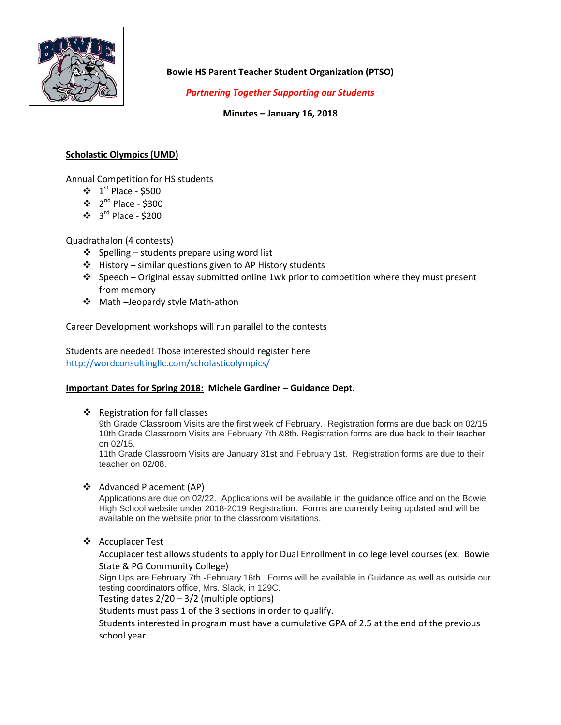

**Bowie HS Parent Teacher Student Organization (PTSO)**

*Partnering Together Supporting our Students*

**Minutes – January 16, 2018**

# **Scholastic Olympics (UMD)**

Annual Competition for HS students

- $\cdot \cdot 1^{\text{st}}$  Place \$500
- $\cdot \cdot$  2<sup>nd</sup> Place \$300
- $\cdot$  3<sup>rd</sup> Place \$200

Quadrathalon (4 contests)

- $\triangleleft$  Spelling students prepare using word list
- $\triangle$  History similar questions given to AP History students
- $\cdot$  Speech Original essay submitted online 1wk prior to competition where they must present from memory
- Math –Jeopardy style Math-athon

Career Development workshops will run parallel to the contests

Students are needed! Those interested should register here <http://wordconsultingllc.com/scholasticolympics/>

## **Important Dates for Spring 2018: Michele Gardiner – Guidance Dept.**

❖ Registration for fall classes

9th Grade Classroom Visits are the first week of February. Registration forms are due back on 02/15 10th Grade Classroom Visits are February 7th &8th. Registration forms are due back to their teacher on 02/15.

11th Grade Classroom Visits are January 31st and February 1st. Registration forms are due to their teacher on 02/08.

Advanced Placement (AP)

Applications are due on 02/22. Applications will be available in the guidance office and on the Bowie High School website under 2018-2019 Registration. Forms are currently being updated and will be available on the website prior to the classroom visitations.

Accuplacer Test

Accuplacer test allows students to apply for Dual Enrollment in college level courses (ex. Bowie State & PG Community College)

Sign Ups are February 7th -February 16th. Forms will be available in Guidance as well as outside our testing coordinators office, Mrs. Slack, in 129C.

Testing dates 2/20 – 3/2 (multiple options)

Students must pass 1 of the 3 sections in order to qualify.

Students interested in program must have a cumulative GPA of 2.5 at the end of the previous school year.